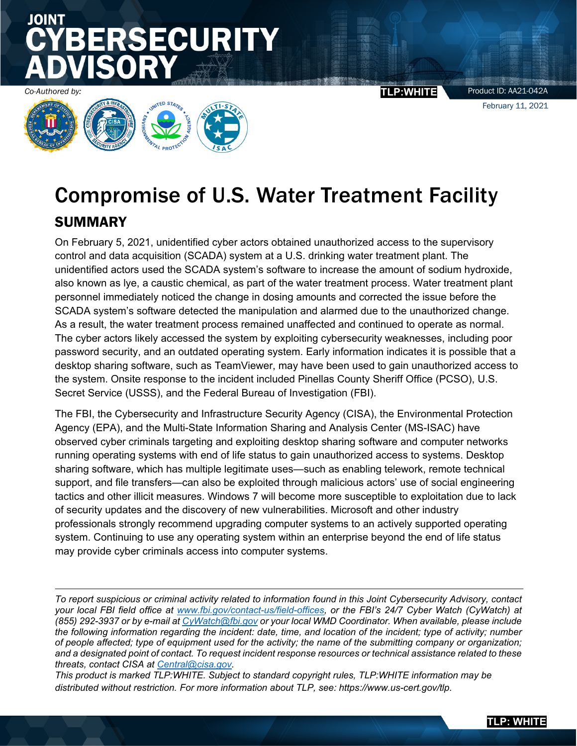Product ID: AA21-042A February 11, 2021

Í Co-Authored by:<br> **TLP:WHITE** 

**SECURITY** 

JOINT

## Compromise of U.S. Water Treatment Facility SUMMARY

On February 5, 2021, unidentified cyber actors obtained unauthorized access to the supervisory control and data acquisition (SCADA) system at a U.S. drinking water treatment plant. The unidentified actors used the SCADA system's software to increase the amount of sodium hydroxide, also known as lye, a caustic chemical, as part of the water treatment process. Water treatment plant personnel immediately noticed the change in dosing amounts and corrected the issue before the SCADA system's software detected the manipulation and alarmed due to the unauthorized change. As a result, the water treatment process remained unaffected and continued to operate as normal. The cyber actors likely accessed the system by exploiting cybersecurity weaknesses, including poor password security, and an outdated operating system. Early information indicates it is possible that a desktop sharing software, such as TeamViewer, may have been used to gain unauthorized access to the system. Onsite response to the incident included Pinellas County Sheriff Office (PCSO), U.S. Secret Service (USSS), and the Federal Bureau of Investigation (FBI).

The FBI, the Cybersecurity and Infrastructure Security Agency (CISA), the Environmental Protection Agency (EPA), and the Multi-State Information Sharing and Analysis Center (MS-ISAC) have observed cyber criminals targeting and exploiting desktop sharing software and computer networks running operating systems with end of life status to gain unauthorized access to systems. Desktop sharing software, which has multiple legitimate uses—such as enabling telework, remote technical support, and file transfers—can also be exploited through malicious actors' use of social engineering tactics and other illicit measures. Windows 7 will become more susceptible to exploitation due to lack of security updates and the discovery of new vulnerabilities. Microsoft and other industry professionals strongly recommend upgrading computer systems to an actively supported operating system. Continuing to use any operating system within an enterprise beyond the end of life status may provide cyber criminals access into computer systems.

*To report suspicious or criminal activity related to information found in this Joint Cybersecurity Advisory, contact your local FBI field office at [www.fbi.gov/contact-us/field-](http://www.fbi.gov/contact-us/field)offices, or the FBI's 24/7 Cyber Watch (CyWatch) at (855) 292-3937 or by e-mail at [CyWatch@fbi.gov](mailto:CyWatch@fbi.gov) or your local WMD Coordinator. When available, please include the following information regarding the incident: date, time, and location of the incident; type of activity; number of people affected; type of equipment used for the activity; the name of the submitting company or organization; and a designated point of contact. To request incident response resources or technical assistance related to these threats, contact CISA at [Central@cisa.gov.](mailto:Central@cisa.gov)*

*This product is marked TLP:WHITE. Subject to standard copyright rules, TLP:WHITE information may be distributed without restriction. For more information about TLP, see: https://www.us-cert.gov/tlp.*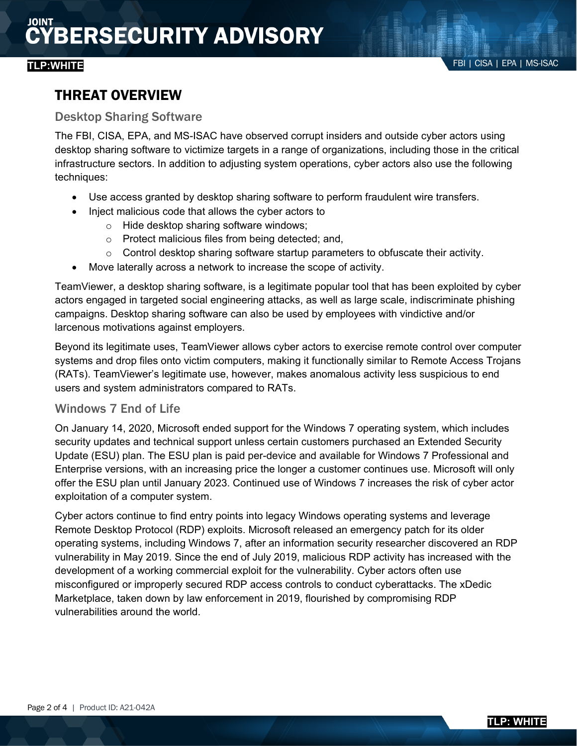## THREAT OVERVIEW

#### Desktop Sharing Software

The FBI, CISA, EPA, and MS-ISAC have observed corrupt insiders and outside cyber actors using desktop sharing software to victimize targets in a range of organizations, including those in the critical infrastructure sectors. In addition to adjusting system operations, cyber actors also use the following techniques:

- Use access granted by desktop sharing software to perform fraudulent wire transfers.
- Inject malicious code that allows the cyber actors to
	- o Hide desktop sharing software windows;
	- o Protect malicious files from being detected; and,
	- $\circ$  Control desktop sharing software startup parameters to obfuscate their activity.
- Move laterally across a network to increase the scope of activity.

TeamViewer, a desktop sharing software, is a legitimate popular tool that has been exploited by cyber actors engaged in targeted social engineering attacks, as well as large scale, indiscriminate phishing campaigns. Desktop sharing software can also be used by employees with vindictive and/or larcenous motivations against employers.

Beyond its legitimate uses, TeamViewer allows cyber actors to exercise remote control over computer systems and drop files onto victim computers, making it functionally similar to Remote Access Trojans (RATs). TeamViewer's legitimate use, however, makes anomalous activity less suspicious to end users and system administrators compared to RATs.

### Windows 7 End of Life

On January 14, 2020, Microsoft ended support for the Windows 7 operating system, which includes security updates and technical support unless certain customers purchased an Extended Security Update (ESU) plan. The ESU plan is paid per-device and available for Windows 7 Professional and Enterprise versions, with an increasing price the longer a customer continues use. Microsoft will only offer the ESU plan until January 2023. Continued use of Windows 7 increases the risk of cyber actor exploitation of a computer system.

Cyber actors continue to find entry points into legacy Windows operating systems and leverage Remote Desktop Protocol (RDP) exploits. Microsoft released an emergency patch for its older operating systems, including Windows 7, after an information security researcher discovered an RDP vulnerability in May 2019. Since the end of July 2019, malicious RDP activity has increased with the development of a working commercial exploit for the vulnerability. Cyber actors often use misconfigured or improperly secured RDP access controls to conduct cyberattacks. The xDedic Marketplace, taken down by law enforcement in 2019, flourished by compromising RDP vulnerabilities around the world.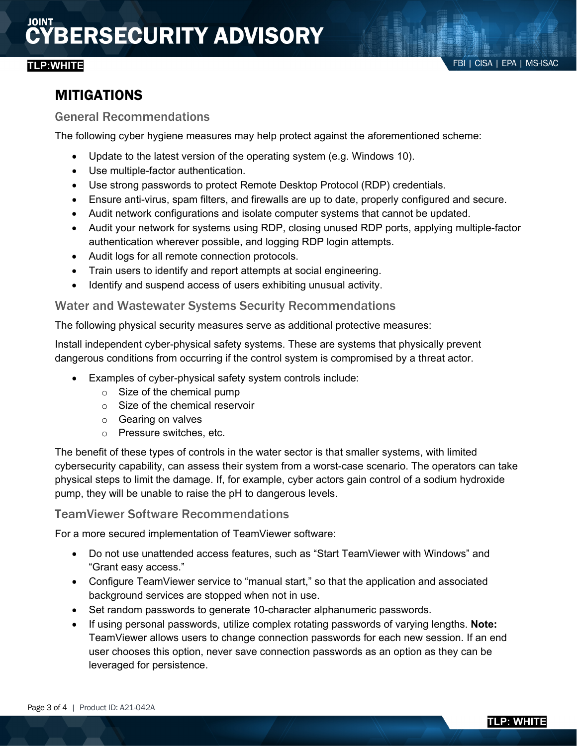## MITIGATIONS

#### General Recommendations

The following cyber hygiene measures may help protect against the aforementioned scheme:

- Update to the latest version of the operating system (e.g. Windows 10).
- Use multiple-factor authentication.
- Use strong passwords to protect Remote Desktop Protocol (RDP) credentials.
- Ensure anti-virus, spam filters, and firewalls are up to date, properly configured and secure.
- Audit network configurations and isolate computer systems that cannot be updated.
- Audit your network for systems using RDP, closing unused RDP ports, applying multiple-factor authentication wherever possible, and logging RDP login attempts.
- Audit logs for all remote connection protocols.
- Train users to identify and report attempts at social engineering.
- Identify and suspend access of users exhibiting unusual activity.

#### Water and Wastewater Systems Security Recommendations

The following physical security measures serve as additional protective measures:

Install independent cyber-physical safety systems. These are systems that physically prevent dangerous conditions from occurring if the control system is compromised by a threat actor.

- Examples of cyber-physical safety system controls include:
	- o Size of the chemical pump
	- $\circ$  Size of the chemical reservoir
	- o Gearing on valves
	- o Pressure switches, etc.

The benefit of these types of controls in the water sector is that smaller systems, with limited cybersecurity capability, can assess their system from a worst-case scenario. The operators can take physical steps to limit the damage. If, for example, cyber actors gain control of a sodium hydroxide pump, they will be unable to raise the pH to dangerous levels.

### TeamViewer Software Recommendations

For a more secured implementation of TeamViewer software:

- Do not use unattended access features, such as "Start TeamViewer with Windows" and "Grant easy access."
- Configure TeamViewer service to "manual start," so that the application and associated background services are stopped when not in use.
- Set random passwords to generate 10-character alphanumeric passwords.
- If using personal passwords, utilize complex rotating passwords of varying lengths. **Note:** TeamViewer allows users to change connection passwords for each new session. If an end user chooses this option, never save connection passwords as an option as they can be leveraged for persistence.